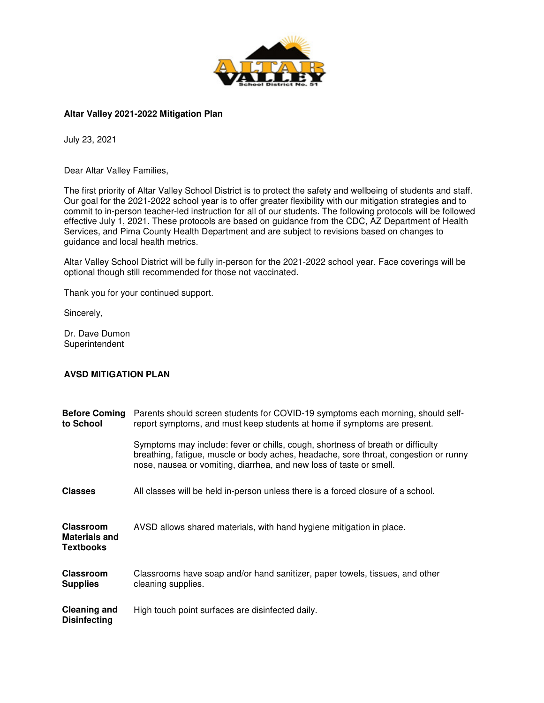

## **Altar Valley 2021-2022 Mitigation Plan 2022**

July 23, 2021

Dear Altar Valley Families,

The first priority of Altar Valley School District is to protect the safety and wellbeing of students and staff. Our goal for the 2021-2022 school year is to offer greater flexibility with our mitigation strategies and to commit to in-person teacher-led instruction for all of our students. The following protocols will be followed Our goal for the 2021-2022 school year is to offer greater flexibility with our mitigation strategies and to<br>commit to in-person teacher-led instruction for all of our students. The following protocols will be followe<br>effe Services, and Pima County Health Department and are subject to revisions based on changes to guidance and local health metrics. Services, and Pima County Health Department and are subject to revisions based on changes to<br>guidance and local health metrics.<br>Altar Valley School District will be fully in-person for the 2021-2022 school year. Face cover ls are based on guidance from the CDC, AZ Department of Healt<br>epartment and are subject to revisions based on changes to<br>y in-person for the 2021-2022 school year. Face coverings will be<br>r those not vaccinated.<br>t.<br>t.

optional though still recommended for those not vaccinated.

Thank you for your continued support.

Sincerely,

Dr. Dave Dumon **Superintendent** 

## **AVSD MITIGATION PLAN**

| <b>Before Coming</b><br>to School                            | Parents should screen students for COVID-19 symptoms each morning, should self-<br>report symptoms, and must keep students at home if symptoms are present.                                                                                    |
|--------------------------------------------------------------|------------------------------------------------------------------------------------------------------------------------------------------------------------------------------------------------------------------------------------------------|
|                                                              | Symptoms may include: fever or chills, cough, shortness of breath or difficulty<br>breathing, fatigue, muscle or body aches, headache, sore throat, congestion or runny<br>nose, nausea or vomiting, diarrhea, and new loss of taste or smell. |
| <b>Classes</b>                                               | All classes will be held in-person unless there is a forced closure of a school.                                                                                                                                                               |
| <b>Classroom</b><br><b>Materials and</b><br><b>Textbooks</b> | AVSD allows shared materials, with hand hygiene mitigation in place.                                                                                                                                                                           |
| <b>Classroom</b><br><b>Supplies</b>                          | Classrooms have soap and/or hand sanitizer, paper towels, tissues, and other<br>cleaning supplies.                                                                                                                                             |
| <b>Cleaning and</b><br><b>Disinfecting</b>                   | High touch point surfaces are disinfected daily.                                                                                                                                                                                               |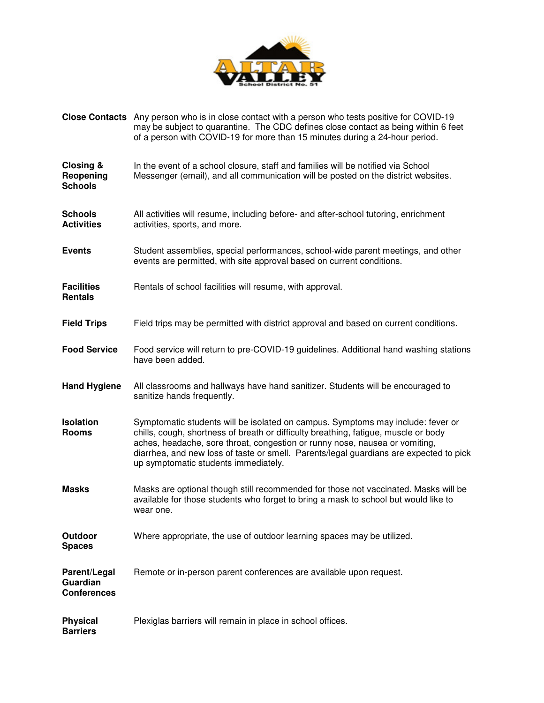

|                                                | Close Contacts Any person who is in close contact with a person who tests positive for COVID-19<br>may be subject to quarantine. The CDC defines close contact as being within 6 feet<br>of a person with COVID-19 for more than 15 minutes during a 24-hour period.                                                                                                                    |
|------------------------------------------------|-----------------------------------------------------------------------------------------------------------------------------------------------------------------------------------------------------------------------------------------------------------------------------------------------------------------------------------------------------------------------------------------|
| Closing &<br>Reopening<br><b>Schools</b>       | In the event of a school closure, staff and families will be notified via School<br>Messenger (email), and all communication will be posted on the district websites.                                                                                                                                                                                                                   |
| Schools<br><b>Activities</b>                   | All activities will resume, including before- and after-school tutoring, enrichment<br>activities, sports, and more.                                                                                                                                                                                                                                                                    |
| <b>Events</b>                                  | Student assemblies, special performances, school-wide parent meetings, and other<br>events are permitted, with site approval based on current conditions.                                                                                                                                                                                                                               |
| <b>Facilities</b><br>Rentals                   | Rentals of school facilities will resume, with approval.                                                                                                                                                                                                                                                                                                                                |
| <b>Field Trips</b>                             | Field trips may be permitted with district approval and based on current conditions.                                                                                                                                                                                                                                                                                                    |
| <b>Food Service</b>                            | Food service will return to pre-COVID-19 guidelines. Additional hand washing stations<br>have been added.                                                                                                                                                                                                                                                                               |
| <b>Hand Hygiene</b>                            | All classrooms and hallways have hand sanitizer. Students will be encouraged to<br>sanitize hands frequently.                                                                                                                                                                                                                                                                           |
| <b>Isolation</b><br>Rooms                      | Symptomatic students will be isolated on campus. Symptoms may include: fever or<br>chills, cough, shortness of breath or difficulty breathing, fatigue, muscle or body<br>aches, headache, sore throat, congestion or runny nose, nausea or vomiting,<br>diarrhea, and new loss of taste or smell. Parents/legal guardians are expected to pick<br>up symptomatic students immediately. |
| <b>Masks</b>                                   | Masks are optional though still recommended for those not vaccinated. Masks will be<br>available for those students who forget to bring a mask to school but would like to<br>wear one.                                                                                                                                                                                                 |
| Outdoor<br><b>Spaces</b>                       | Where appropriate, the use of outdoor learning spaces may be utilized.                                                                                                                                                                                                                                                                                                                  |
| Parent/Legal<br>Guardian<br><b>Conferences</b> | Remote or in-person parent conferences are available upon request.                                                                                                                                                                                                                                                                                                                      |
| <b>Physical</b><br><b>Barriers</b>             | Plexiglas barriers will remain in place in school offices.                                                                                                                                                                                                                                                                                                                              |